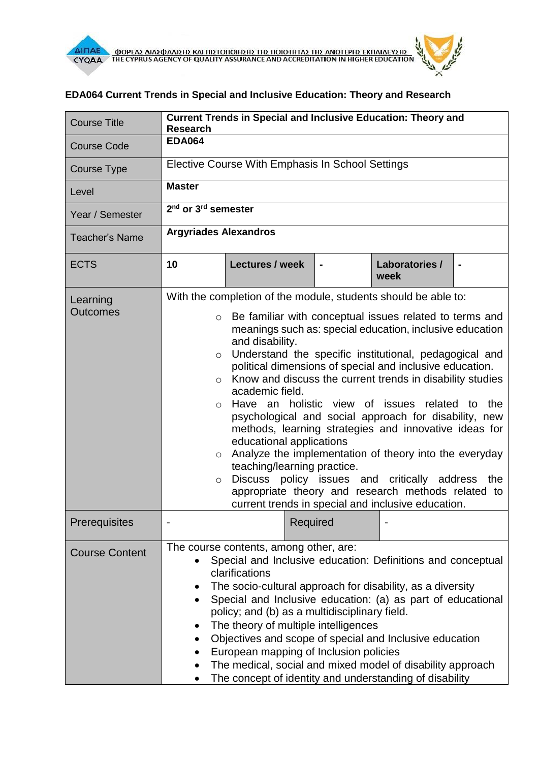

## **EDA064 Current Trends in Special and Inclusive Education: Theory and Research**

| <b>Course Title</b>   | <b>Current Trends in Special and Inclusive Education: Theory and</b><br><b>Research</b>                                                                                                                                                                                                                                                                                                                                                                                                                                                                                                                                                                                                                                                                                                                                                                                       |                        |  |                        |                |
|-----------------------|-------------------------------------------------------------------------------------------------------------------------------------------------------------------------------------------------------------------------------------------------------------------------------------------------------------------------------------------------------------------------------------------------------------------------------------------------------------------------------------------------------------------------------------------------------------------------------------------------------------------------------------------------------------------------------------------------------------------------------------------------------------------------------------------------------------------------------------------------------------------------------|------------------------|--|------------------------|----------------|
| <b>Course Code</b>    | <b>EDA064</b>                                                                                                                                                                                                                                                                                                                                                                                                                                                                                                                                                                                                                                                                                                                                                                                                                                                                 |                        |  |                        |                |
| Course Type           | Elective Course With Emphasis In School Settings                                                                                                                                                                                                                                                                                                                                                                                                                                                                                                                                                                                                                                                                                                                                                                                                                              |                        |  |                        |                |
| Level                 | <b>Master</b>                                                                                                                                                                                                                                                                                                                                                                                                                                                                                                                                                                                                                                                                                                                                                                                                                                                                 |                        |  |                        |                |
| Year / Semester       | $2nd$ or $3rd$ semester                                                                                                                                                                                                                                                                                                                                                                                                                                                                                                                                                                                                                                                                                                                                                                                                                                                       |                        |  |                        |                |
| <b>Teacher's Name</b> | <b>Argyriades Alexandros</b>                                                                                                                                                                                                                                                                                                                                                                                                                                                                                                                                                                                                                                                                                                                                                                                                                                                  |                        |  |                        |                |
| <b>ECTS</b>           | 10                                                                                                                                                                                                                                                                                                                                                                                                                                                                                                                                                                                                                                                                                                                                                                                                                                                                            | <b>Lectures / week</b> |  | Laboratories /<br>week | $\blacksquare$ |
| Learning              | With the completion of the module, students should be able to:                                                                                                                                                                                                                                                                                                                                                                                                                                                                                                                                                                                                                                                                                                                                                                                                                |                        |  |                        |                |
| <b>Outcomes</b>       | Be familiar with conceptual issues related to terms and<br>$\circ$<br>meanings such as: special education, inclusive education<br>and disability.<br>Understand the specific institutional, pedagogical and<br>$\circ$<br>political dimensions of special and inclusive education.<br>Know and discuss the current trends in disability studies<br>$\circ$<br>academic field.<br>Have an holistic view of issues<br>the<br>related to<br>$\circ$<br>psychological and social approach for disability, new<br>methods, learning strategies and innovative ideas for<br>educational applications<br>Analyze the implementation of theory into the everyday<br>$\circ$<br>teaching/learning practice.<br>Discuss policy issues and critically address the<br>$\circ$<br>appropriate theory and research methods related to<br>current trends in special and inclusive education. |                        |  |                        |                |
| Prerequisites         |                                                                                                                                                                                                                                                                                                                                                                                                                                                                                                                                                                                                                                                                                                                                                                                                                                                                               | Required               |  |                        |                |
| <b>Course Content</b> | The course contents, among other, are:<br>Special and Inclusive education: Definitions and conceptual<br>clarifications<br>The socio-cultural approach for disability, as a diversity<br>Special and Inclusive education: (a) as part of educational<br>policy; and (b) as a multidisciplinary field.<br>The theory of multiple intelligences<br>٠<br>Objectives and scope of special and Inclusive education<br>٠<br>European mapping of Inclusion policies<br>The medical, social and mixed model of disability approach<br>The concept of identity and understanding of disability                                                                                                                                                                                                                                                                                         |                        |  |                        |                |